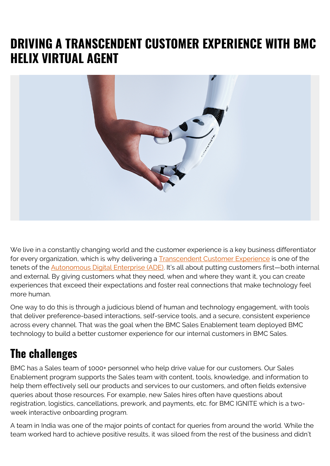## **DRIVING A TRANSCENDENT CUSTOMER EXPERIENCE WITH BMC HELIX VIRTUAL AGENT**



We live in a constantly changing world and the customer experience is a key business differentiator for every organization, which is why delivering a **Transcendent Customer Experience** is one of the tenets of the [Autonomous Digital Enterprise \(ADE\)](https://blogs.bmc.com/ade). It's all about putting customers first—both internal and external. By giving customers what they need, when and where they want it, you can create experiences that exceed their expectations and foster real connections that make technology feel more human.

One way to do this is through a judicious blend of human and technology engagement, with tools that deliver preference-based interactions, self-service tools, and a secure, consistent experience across every channel. That was the goal when the BMC Sales Enablement team deployed BMC technology to build a better customer experience for our internal customers in BMC Sales.

## **The challenges**

BMC has a Sales team of 1000+ personnel who help drive value for our customers. Our Sales Enablement program supports the Sales team with content, tools, knowledge, and information to help them effectively sell our products and services to our customers, and often fields extensive queries about those resources. For example, new Sales hires often have questions about registration, logistics, cancellations, prework, and payments, etc. for BMC IGNITE which is a twoweek interactive onboarding program.

A team in India was one of the major points of contact for queries from around the world. While the team worked hard to achieve positive results, it was siloed from the rest of the business and didn't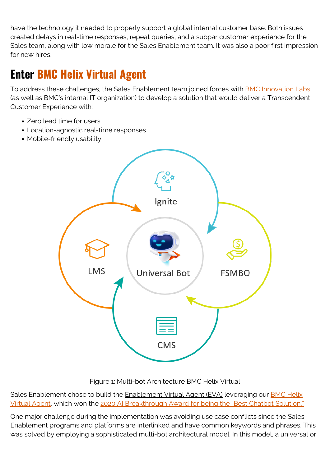have the technology it needed to properly support a global internal customer base. Both issues created delays in real-time responses, repeat queries, and a subpar customer experience for the Sales team, along with low morale for the Sales Enablement team. It was also a poor first impression for new hires.

## **Enter [BMC Helix Virtual Agent](https://blogs.bmc.com/it-solutions/bmc-helix-virtual-agent.html?301=bmc-helix-chatbot)**

To address these challenges, the Sales Enablement team joined forces with [BMC Innovation Labs](https://blogs.bmc.com/corporate/bmc-innovation-labs.html) (as well as BMC's internal IT organization) to develop a solution that would deliver a Transcendent Customer Experience with:

- Zero lead time for users
- Location-agnostic real-time responses
- Mobile-friendly usability



Sales Enablement chose to build the Enablement Virtual Agent (EVA) leveraging our **BMC Helix** [Virtual Agent](https://blogs.bmc.com/it-solutions/bmc-helix-virtual-agent.html?301=bmc-helix-chatbot), which won the [2020 AI Breakthrough Award for being the "Best Chatbot Solution."](https://www.prweb.com/releases/2020_ai_breakthrough_awards_program_recognizes_standout_artificial_intelligence_solutions_and_companies_around_the_world/prweb17351819.htm)

One major challenge during the implementation was avoiding use case conflicts since the Sales Enablement programs and platforms are interlinked and have common keywords and phrases. This was solved by employing a sophisticated multi-bot architectural model. In this model, a universal or